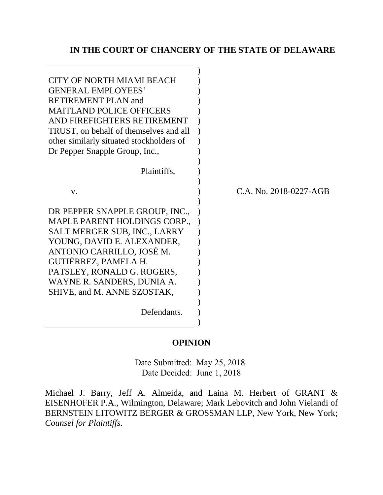## **IN THE COURT OF CHANCERY OF THE STATE OF DELAWARE**

| <b>CITY OF NORTH MIAMI BEACH</b>         |                        |
|------------------------------------------|------------------------|
| <b>GENERAL EMPLOYEES'</b>                |                        |
| <b>RETIREMENT PLAN and</b>               |                        |
| <b>MAITLAND POLICE OFFICERS</b>          |                        |
| AND FIREFIGHTERS RETIREMENT              |                        |
| TRUST, on behalf of themselves and all   |                        |
| other similarly situated stockholders of |                        |
| Dr Pepper Snapple Group, Inc.,           |                        |
|                                          |                        |
| Plaintiffs,                              |                        |
|                                          |                        |
| V.                                       | C.A. No. 2018-0227-AGB |
|                                          |                        |
| DR PEPPER SNAPPLE GROUP, INC.,           |                        |
| <b>MAPLE PARENT HOLDINGS CORP.,</b>      |                        |
| SALT MERGER SUB, INC., LARRY             |                        |
| YOUNG, DAVID E. ALEXANDER,               |                        |
| ANTONIO CARRILLO, JOSÉ M.                |                        |
| GUTIÉRREZ, PAMELA H.                     |                        |
|                                          |                        |
| PATSLEY, RONALD G. ROGERS,               |                        |
| WAYNE R. SANDERS, DUNIA A.               |                        |
| SHIVE, and M. ANNE SZOSTAK,              |                        |
|                                          |                        |
| Defendants.                              |                        |
|                                          |                        |

#### **OPINION**

Date Submitted: May 25, 2018 Date Decided: June 1, 2018

Michael J. Barry, Jeff A. Almeida, and Laina M. Herbert of GRANT & EISENHOFER P.A., Wilmington, Delaware; Mark Lebovitch and John Vielandi of BERNSTEIN LITOWITZ BERGER & GROSSMAN LLP, New York, New York; *Counsel for Plaintiffs*.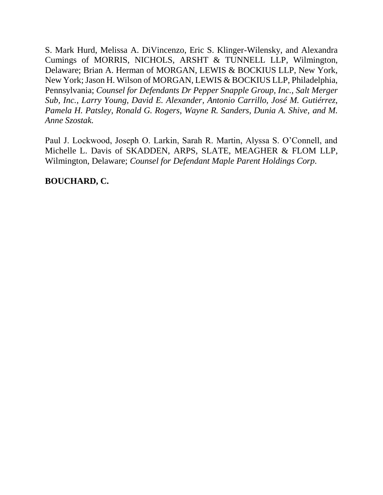S. Mark Hurd, Melissa A. DiVincenzo, Eric S. Klinger-Wilensky, and Alexandra Cumings of MORRIS, NICHOLS, ARSHT & TUNNELL LLP, Wilmington, Delaware; Brian A. Herman of MORGAN, LEWIS & BOCKIUS LLP, New York, New York; Jason H. Wilson of MORGAN, LEWIS & BOCKIUS LLP, Philadelphia, Pennsylvania; *Counsel for Defendants Dr Pepper Snapple Group, Inc., Salt Merger Sub, Inc., Larry Young, David E. Alexander, Antonio Carrillo, José M. Gutiérrez, Pamela H. Patsley, Ronald G. Rogers, Wayne R. Sanders, Dunia A. Shive, and M. Anne Szostak.*

Paul J. Lockwood, Joseph O. Larkin, Sarah R. Martin, Alyssa S. O'Connell, and Michelle L. Davis of SKADDEN, ARPS, SLATE, MEAGHER & FLOM LLP, Wilmington, Delaware; *Counsel for Defendant Maple Parent Holdings Corp.*

**BOUCHARD, C.**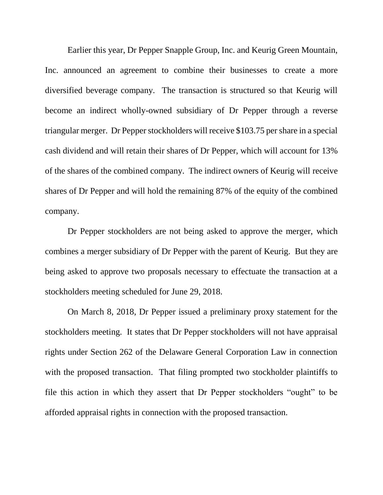Earlier this year, Dr Pepper Snapple Group, Inc. and Keurig Green Mountain, Inc. announced an agreement to combine their businesses to create a more diversified beverage company. The transaction is structured so that Keurig will become an indirect wholly-owned subsidiary of Dr Pepper through a reverse triangular merger. Dr Pepper stockholders will receive \$103.75 per share in a special cash dividend and will retain their shares of Dr Pepper, which will account for 13% of the shares of the combined company. The indirect owners of Keurig will receive shares of Dr Pepper and will hold the remaining 87% of the equity of the combined company.

Dr Pepper stockholders are not being asked to approve the merger, which combines a merger subsidiary of Dr Pepper with the parent of Keurig. But they are being asked to approve two proposals necessary to effectuate the transaction at a stockholders meeting scheduled for June 29, 2018.

On March 8, 2018, Dr Pepper issued a preliminary proxy statement for the stockholders meeting. It states that Dr Pepper stockholders will not have appraisal rights under Section 262 of the Delaware General Corporation Law in connection with the proposed transaction. That filing prompted two stockholder plaintiffs to file this action in which they assert that Dr Pepper stockholders "ought" to be afforded appraisal rights in connection with the proposed transaction.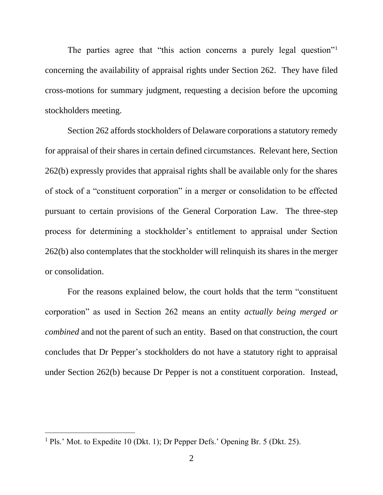The parties agree that "this action concerns a purely legal question"<sup>1</sup> concerning the availability of appraisal rights under Section 262. They have filed cross-motions for summary judgment, requesting a decision before the upcoming stockholders meeting.

Section 262 affords stockholders of Delaware corporations a statutory remedy for appraisal of their shares in certain defined circumstances. Relevant here, Section 262(b) expressly provides that appraisal rights shall be available only for the shares of stock of a "constituent corporation" in a merger or consolidation to be effected pursuant to certain provisions of the General Corporation Law. The three-step process for determining a stockholder's entitlement to appraisal under Section 262(b) also contemplates that the stockholder will relinquish its shares in the merger or consolidation.

For the reasons explained below, the court holds that the term "constituent corporation" as used in Section 262 means an entity *actually being merged or combined* and not the parent of such an entity. Based on that construction, the court concludes that Dr Pepper's stockholders do not have a statutory right to appraisal under Section 262(b) because Dr Pepper is not a constituent corporation. Instead,

<sup>&</sup>lt;sup>1</sup> Pls.' Mot. to Expedite 10 (Dkt. 1); Dr Pepper Defs.' Opening Br. 5 (Dkt. 25).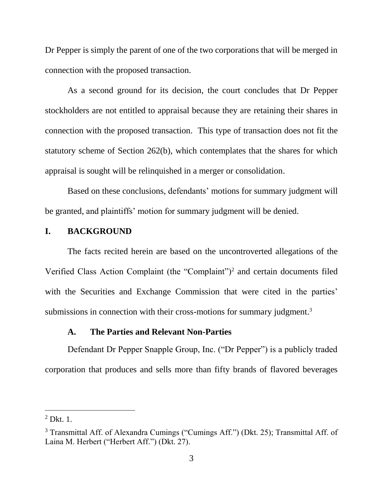Dr Pepper is simply the parent of one of the two corporations that will be merged in connection with the proposed transaction.

As a second ground for its decision, the court concludes that Dr Pepper stockholders are not entitled to appraisal because they are retaining their shares in connection with the proposed transaction. This type of transaction does not fit the statutory scheme of Section 262(b), which contemplates that the shares for which appraisal is sought will be relinquished in a merger or consolidation.

Based on these conclusions, defendants' motions for summary judgment will be granted, and plaintiffs' motion for summary judgment will be denied.

## **I. BACKGROUND**

The facts recited herein are based on the uncontroverted allegations of the Verified Class Action Complaint (the "Complaint")<sup>2</sup> and certain documents filed with the Securities and Exchange Commission that were cited in the parties' submissions in connection with their cross-motions for summary judgment.<sup>3</sup>

#### **A. The Parties and Relevant Non-Parties**

Defendant Dr Pepper Snapple Group, Inc. ("Dr Pepper") is a publicly traded corporation that produces and sells more than fifty brands of flavored beverages

 $<sup>2</sup>$  Dkt. 1.</sup>

<sup>3</sup> Transmittal Aff. of Alexandra Cumings ("Cumings Aff.") (Dkt. 25); Transmittal Aff. of Laina M. Herbert ("Herbert Aff.") (Dkt. 27).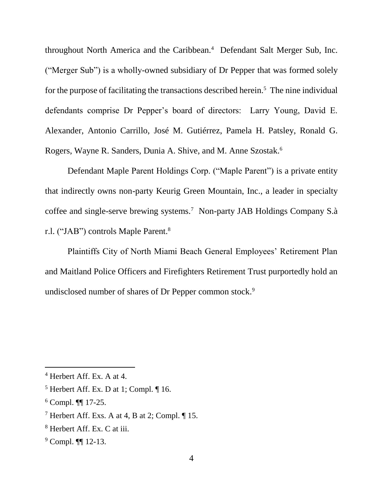throughout North America and the Caribbean.<sup>4</sup> Defendant Salt Merger Sub, Inc. ("Merger Sub") is a wholly-owned subsidiary of Dr Pepper that was formed solely for the purpose of facilitating the transactions described herein.<sup>5</sup> The nine individual defendants comprise Dr Pepper's board of directors: Larry Young, David E. Alexander, Antonio Carrillo, José M. Gutiérrez, Pamela H. Patsley, Ronald G. Rogers, Wayne R. Sanders, Dunia A. Shive, and M. Anne Szostak.<sup>6</sup>

Defendant Maple Parent Holdings Corp. ("Maple Parent") is a private entity that indirectly owns non-party Keurig Green Mountain, Inc., a leader in specialty coffee and single-serve brewing systems.<sup>7</sup> Non-party JAB Holdings Company S.à r.l. ("JAB") controls Maple Parent.<sup>8</sup>

Plaintiffs City of North Miami Beach General Employees' Retirement Plan and Maitland Police Officers and Firefighters Retirement Trust purportedly hold an undisclosed number of shares of Dr Pepper common stock.<sup>9</sup>

<sup>4</sup> Herbert Aff. Ex. A at 4.

 $<sup>5</sup>$  Herbert Aff. Ex. D at 1; Compl.  $\P$  16.</sup>

 $6$  Compl. **[1]** 17-25.

<sup>&</sup>lt;sup>7</sup> Herbert Aff. Exs. A at 4, B at 2; Compl.  $\P$  15.

<sup>8</sup> Herbert Aff. Ex. C at iii.

<sup>&</sup>lt;sup>9</sup> Compl. ¶[ 12-13.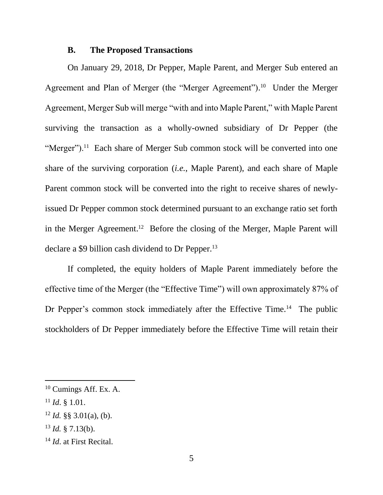#### **B. The Proposed Transactions**

On January 29, 2018, Dr Pepper, Maple Parent, and Merger Sub entered an Agreement and Plan of Merger (the "Merger Agreement").<sup>10</sup> Under the Merger Agreement, Merger Sub will merge "with and into Maple Parent," with Maple Parent surviving the transaction as a wholly-owned subsidiary of Dr Pepper (the "Merger").<sup>11</sup> Each share of Merger Sub common stock will be converted into one share of the surviving corporation (*i.e.*, Maple Parent), and each share of Maple Parent common stock will be converted into the right to receive shares of newlyissued Dr Pepper common stock determined pursuant to an exchange ratio set forth in the Merger Agreement. 12 Before the closing of the Merger, Maple Parent will declare a \$9 billion cash dividend to Dr Pepper.<sup>13</sup>

If completed, the equity holders of Maple Parent immediately before the effective time of the Merger (the "Effective Time") will own approximately 87% of Dr Pepper's common stock immediately after the Effective Time.<sup>14</sup> The public stockholders of Dr Pepper immediately before the Effective Time will retain their

<sup>&</sup>lt;sup>10</sup> Cumings Aff. Ex. A.

<sup>11</sup> *Id*. § 1.01.

 $12$  *Id.* §§ 3.01(a), (b).

 $13$  *Id.* § 7.13(b).

<sup>14</sup> *Id*. at First Recital.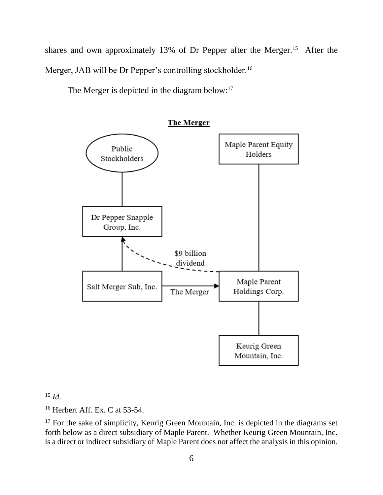shares and own approximately 13% of Dr Pepper after the Merger.<sup>15</sup> After the Merger, JAB will be Dr Pepper's controlling stockholder.<sup>16</sup>

The Merger is depicted in the diagram below:<sup>17</sup>

Maple Parent Equity Public Holders Stockholders Dr Pepper Snapple Group, Inc. \$9 billion dividend Maple Parent Salt Merger Sub, Inc. Holdings Corp. The Merger Keurig Green Mountain, Inc.

**The Merger** 

<sup>15</sup> *Id*.

<sup>16</sup> Herbert Aff. Ex. C at 53-54.

 $17$  For the sake of simplicity, Keurig Green Mountain, Inc. is depicted in the diagrams set forth below as a direct subsidiary of Maple Parent. Whether Keurig Green Mountain, Inc. is a direct or indirect subsidiary of Maple Parent does not affect the analysis in this opinion.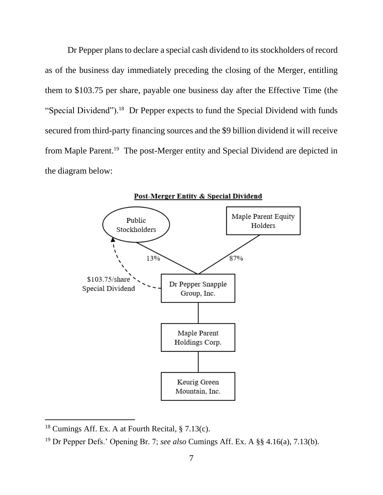Dr Pepper plans to declare a special cash dividend to its stockholders of record as of the business day immediately preceding the closing of the Merger, entitling them to \$103.75 per share, payable one business day after the Effective Time (the "Special Dividend").<sup>18</sup> Dr Pepper expects to fund the Special Dividend with funds secured from third-party financing sources and the \$9 billion dividend it will receive from Maple Parent.<sup>19</sup> The post-Merger entity and Special Dividend are depicted in the diagram below:



Post-Merger Entity & Special Dividend

<sup>&</sup>lt;sup>18</sup> Cumings Aff. Ex. A at Fourth Recital,  $\S$  7.13(c).

<sup>19</sup> Dr Pepper Defs.' Opening Br. 7; *see also* Cumings Aff. Ex. A §§ 4.16(a), 7.13(b).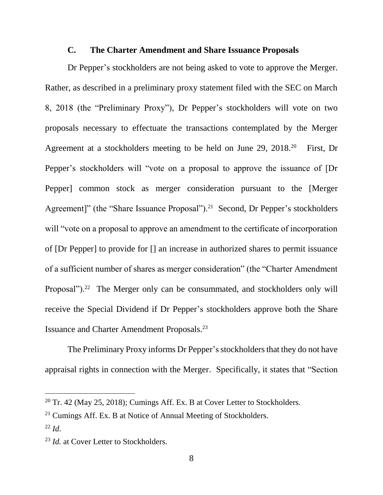## **C. The Charter Amendment and Share Issuance Proposals**

Dr Pepper's stockholders are not being asked to vote to approve the Merger. Rather, as described in a preliminary proxy statement filed with the SEC on March 8, 2018 (the "Preliminary Proxy"), Dr Pepper's stockholders will vote on two proposals necessary to effectuate the transactions contemplated by the Merger Agreement at a stockholders meeting to be held on June 29, 2018.<sup>20</sup> First, Dr Pepper's stockholders will "vote on a proposal to approve the issuance of [Dr Pepper] common stock as merger consideration pursuant to the [Merger Agreement]" (the "Share Issuance Proposal").<sup>21</sup> Second, Dr Pepper's stockholders will "vote on a proposal to approve an amendment to the certificate of incorporation of [Dr Pepper] to provide for [] an increase in authorized shares to permit issuance of a sufficient number of shares as merger consideration" (the "Charter Amendment Proposal").<sup>22</sup> The Merger only can be consummated, and stockholders only will receive the Special Dividend if Dr Pepper's stockholders approve both the Share Issuance and Charter Amendment Proposals.<sup>23</sup>

The Preliminary Proxy informs Dr Pepper's stockholders that they do not have appraisal rights in connection with the Merger. Specifically, it states that "Section

<sup>&</sup>lt;sup>20</sup> Tr. 42 (May 25, 2018); Cumings Aff. Ex. B at Cover Letter to Stockholders.

 $21$  Cumings Aff. Ex. B at Notice of Annual Meeting of Stockholders.

<sup>22</sup> *Id*.

<sup>23</sup> *Id.* at Cover Letter to Stockholders.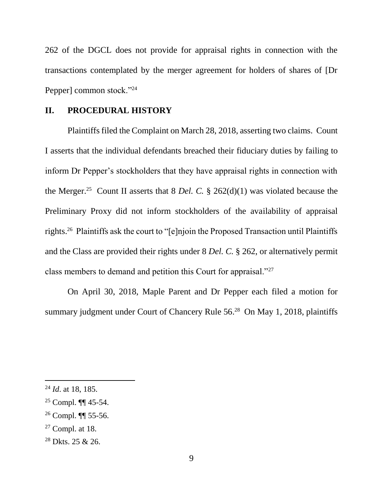262 of the DGCL does not provide for appraisal rights in connection with the transactions contemplated by the merger agreement for holders of shares of [Dr Pepper] common stock."<sup>24</sup>

### **II. PROCEDURAL HISTORY**

Plaintiffs filed the Complaint on March 28, 2018, asserting two claims. Count I asserts that the individual defendants breached their fiduciary duties by failing to inform Dr Pepper's stockholders that they have appraisal rights in connection with the Merger.<sup>25</sup> Count II asserts that 8 *Del. C.* § 262(d)(1) was violated because the Preliminary Proxy did not inform stockholders of the availability of appraisal rights.<sup>26</sup> Plaintiffs ask the court to "[e]njoin the Proposed Transaction until Plaintiffs and the Class are provided their rights under 8 *Del. C.* § 262, or alternatively permit class members to demand and petition this Court for appraisal."<sup>27</sup>

On April 30, 2018, Maple Parent and Dr Pepper each filed a motion for summary judgment under Court of Chancery Rule 56. <sup>28</sup> On May 1, 2018, plaintiffs

<sup>24</sup> *Id*. at 18, 185.

<sup>25</sup> Compl. ¶¶ 45-54.

<sup>26</sup> Compl. ¶¶ 55-56.

 $27$  Compl. at 18.

<sup>28</sup> Dkts. 25 & 26.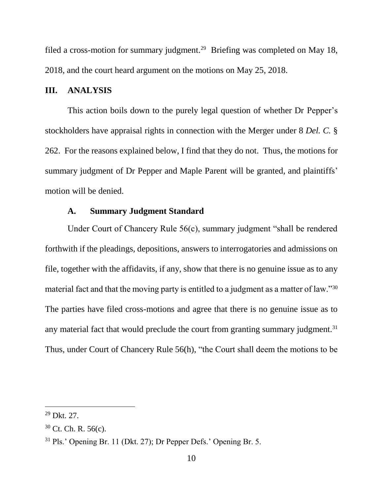filed a cross-motion for summary judgment.<sup>29</sup> Briefing was completed on May 18, 2018, and the court heard argument on the motions on May 25, 2018.

### **III. ANALYSIS**

This action boils down to the purely legal question of whether Dr Pepper's stockholders have appraisal rights in connection with the Merger under 8 *Del. C.* § 262. For the reasons explained below, I find that they do not. Thus, the motions for summary judgment of Dr Pepper and Maple Parent will be granted, and plaintiffs' motion will be denied.

## **A. Summary Judgment Standard**

Under Court of Chancery Rule 56(c), summary judgment "shall be rendered forthwith if the pleadings, depositions, answers to interrogatories and admissions on file, together with the affidavits, if any, show that there is no genuine issue as to any material fact and that the moving party is entitled to a judgment as a matter of law."<sup>30</sup> The parties have filed cross-motions and agree that there is no genuine issue as to any material fact that would preclude the court from granting summary judgment.<sup>31</sup> Thus, under Court of Chancery Rule 56(h), "the Court shall deem the motions to be

<sup>29</sup> Dkt. 27.

<sup>30</sup> Ct. Ch. R. 56(c).

<sup>31</sup> Pls.' Opening Br. 11 (Dkt. 27); Dr Pepper Defs.' Opening Br. 5.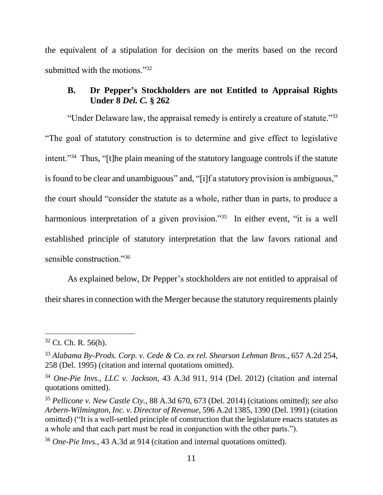the equivalent of a stipulation for decision on the merits based on the record submitted with the motions."<sup>32</sup>

# **B. Dr Pepper's Stockholders are not Entitled to Appraisal Rights Under 8** *Del. C.* **§ 262**

"Under Delaware law, the appraisal remedy is entirely a creature of statute."<sup>33</sup> "The goal of statutory construction is to determine and give effect to legislative intent."<sup>34</sup> Thus, "[t]he plain meaning of the statutory language controls if the statute is found to be clear and unambiguous" and, "[i]f a statutory provision is ambiguous," the court should "consider the statute as a whole, rather than in parts, to produce a harmonious interpretation of a given provision."<sup>35</sup> In either event, "it is a well established principle of statutory interpretation that the law favors rational and sensible construction."<sup>36</sup>

As explained below, Dr Pepper's stockholders are not entitled to appraisal of their shares in connection with the Merger because the statutory requirements plainly

 $32$  Ct. Ch. R. 56(h).

<sup>33</sup> *Alabama By-Prods. Corp. v. Cede & Co. ex rel. Shearson Lehman Bros.*, 657 A.2d 254, 258 (Del. 1995) (citation and internal quotations omitted).

<sup>34</sup> *One-Pie Invs., LLC v. Jackson*, 43 A.3d 911, 914 (Del. 2012) (citation and internal quotations omitted).

<sup>35</sup> *Pellicone v. New Castle Cty.*, 88 A.3d 670, 673 (Del. 2014) (citations omitted); *see also Arbern-Wilmington, Inc. v. Director of Revenue*, 596 A.2d 1385, 1390 (Del. 1991) (citation omitted) ("It is a well-settled principle of construction that the legislature enacts statutes as a whole and that each part must be read in conjunction with the other parts.").

<sup>36</sup> *One-Pie Invs.*, 43 A.3d at 914 (citation and internal quotations omitted).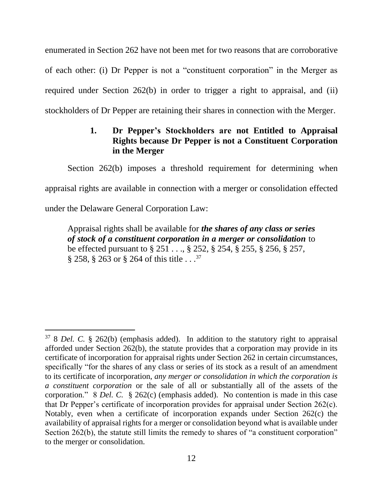enumerated in Section 262 have not been met for two reasons that are corroborative of each other: (i) Dr Pepper is not a "constituent corporation" in the Merger as required under Section 262(b) in order to trigger a right to appraisal, and (ii) stockholders of Dr Pepper are retaining their shares in connection with the Merger.

# **1. Dr Pepper's Stockholders are not Entitled to Appraisal Rights because Dr Pepper is not a Constituent Corporation in the Merger**

Section 262(b) imposes a threshold requirement for determining when appraisal rights are available in connection with a merger or consolidation effected under the Delaware General Corporation Law:

Appraisal rights shall be available for *the shares of any class or series of stock of a constituent corporation in a merger or consolidation* to be effected pursuant to § 251 . . ., § 252, § 254, § 255, § 256, § 257,  $\S 258$ ,  $\S 263$  or  $\S 264$  of this title . . .<sup>37</sup>

<sup>37</sup> 8 *Del. C.* § 262(b) (emphasis added). In addition to the statutory right to appraisal afforded under Section 262(b), the statute provides that a corporation may provide in its certificate of incorporation for appraisal rights under Section 262 in certain circumstances, specifically "for the shares of any class or series of its stock as a result of an amendment to its certificate of incorporation, *any merger or consolidation in which the corporation is a constituent corporation* or the sale of all or substantially all of the assets of the corporation." 8 *Del. C.* § 262(c) (emphasis added). No contention is made in this case that Dr Pepper's certificate of incorporation provides for appraisal under Section 262(c). Notably, even when a certificate of incorporation expands under Section 262(c) the availability of appraisal rights for a merger or consolidation beyond what is available under Section 262(b), the statute still limits the remedy to shares of "a constituent corporation" to the merger or consolidation.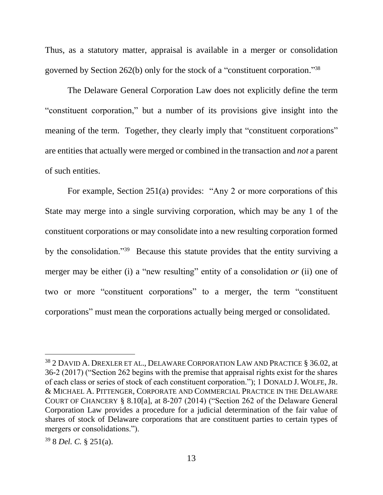Thus, as a statutory matter, appraisal is available in a merger or consolidation governed by Section 262(b) only for the stock of a "constituent corporation." 38

The Delaware General Corporation Law does not explicitly define the term "constituent corporation," but a number of its provisions give insight into the meaning of the term. Together, they clearly imply that "constituent corporations" are entities that actually were merged or combined in the transaction and *not* a parent of such entities.

For example, Section 251(a) provides: "Any 2 or more corporations of this State may merge into a single surviving corporation, which may be any 1 of the constituent corporations or may consolidate into a new resulting corporation formed by the consolidation."<sup>39</sup> Because this statute provides that the entity surviving a merger may be either (i) a "new resulting" entity of a consolidation *or* (ii) one of two or more "constituent corporations" to a merger, the term "constituent corporations" must mean the corporations actually being merged or consolidated.

<sup>38</sup> 2 DAVID A. DREXLER ET AL., DELAWARE CORPORATION LAW AND PRACTICE § 36.02, at 36-2 (2017) ("Section 262 begins with the premise that appraisal rights exist for the shares of each class or series of stock of each constituent corporation."); 1 DONALD J. WOLFE,JR. & MICHAEL A. PITTENGER, CORPORATE AND COMMERCIAL PRACTICE IN THE DELAWARE COURT OF CHANCERY § 8.10[a], at 8-207 (2014) ("Section 262 of the Delaware General Corporation Law provides a procedure for a judicial determination of the fair value of shares of stock of Delaware corporations that are constituent parties to certain types of mergers or consolidations.").

<sup>39</sup> 8 *Del. C.* § 251(a).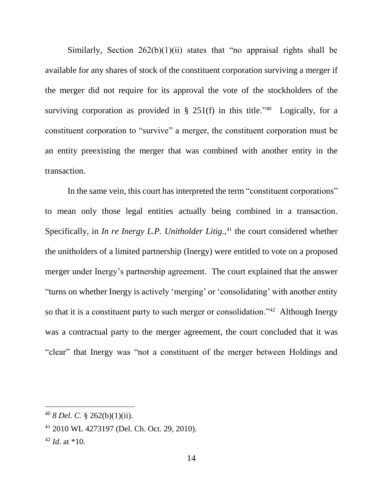Similarly, Section  $262(b)(1)(ii)$  states that "no appraisal rights shall be available for any shares of stock of the constituent corporation surviving a merger if the merger did not require for its approval the vote of the stockholders of the surviving corporation as provided in  $\S$  251(f) in this title.<sup>240</sup> Logically, for a constituent corporation to "survive" a merger, the constituent corporation must be an entity preexisting the merger that was combined with another entity in the transaction.

In the same vein, this court has interpreted the term "constituent corporations" to mean only those legal entities actually being combined in a transaction. Specifically, in *In re Inergy L.P. Unitholder Litig.*, <sup>41</sup> the court considered whether the unitholders of a limited partnership (Inergy) were entitled to vote on a proposed merger under Inergy's partnership agreement. The court explained that the answer "turns on whether Inergy is actively 'merging' or 'consolidating' with another entity so that it is a constituent party to such merger or consolidation."<sup>42</sup> Although Inergy was a contractual party to the merger agreement, the court concluded that it was "clear" that Inergy was "not a constituent of the merger between Holdings and

<sup>40</sup> *8 Del. C.* § 262(b)(1)(ii).

<sup>41</sup> 2010 WL 4273197 (Del. Ch. Oct. 29, 2010).

 $42$  *Id.* at  $*10$ .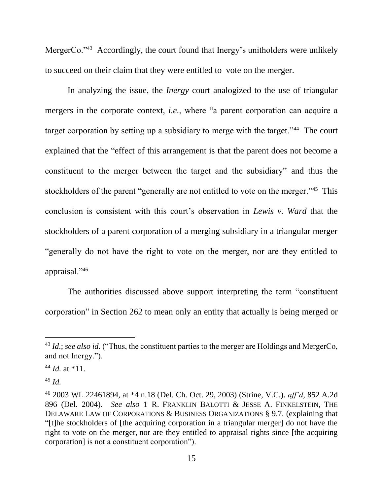MergerCo.<sup>243</sup> Accordingly, the court found that Inergy's unitholders were unlikely to succeed on their claim that they were entitled to vote on the merger.

In analyzing the issue, the *Inergy* court analogized to the use of triangular mergers in the corporate context, *i.e.*, where "a parent corporation can acquire a target corporation by setting up a subsidiary to merge with the target."<sup>44</sup> The court explained that the "effect of this arrangement is that the parent does not become a constituent to the merger between the target and the subsidiary" and thus the stockholders of the parent "generally are not entitled to vote on the merger."<sup>45</sup> This conclusion is consistent with this court's observation in *Lewis v. Ward* that the stockholders of a parent corporation of a merging subsidiary in a triangular merger "generally do not have the right to vote on the merger, nor are they entitled to appraisal."<sup>46</sup>

The authorities discussed above support interpreting the term "constituent corporation" in Section 262 to mean only an entity that actually is being merged or

<sup>&</sup>lt;sup>43</sup> *Id.*; *see also id.* ("Thus, the constituent parties to the merger are Holdings and MergerCo, and not Inergy.").

<sup>44</sup> *Id.* at \*11.

 $45$  *Id.* 

<sup>46</sup> 2003 WL 22461894, at \*4 n.18 (Del. Ch. Oct. 29, 2003) (Strine, V.C.). *aff'd*, 852 A.2d 896 (Del. 2004). *See also* 1 R. FRANKLIN BALOTTI & JESSE A. FINKELSTEIN, THE DELAWARE LAW OF CORPORATIONS & BUSINESS ORGANIZATIONS § 9.7. (explaining that "[t]he stockholders of [the acquiring corporation in a triangular merger] do not have the right to vote on the merger, nor are they entitled to appraisal rights since [the acquiring corporation] is not a constituent corporation").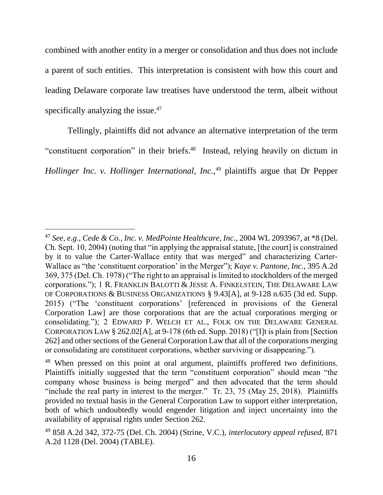combined with another entity in a merger or consolidation and thus does not include a parent of such entities. This interpretation is consistent with how this court and leading Delaware corporate law treatises have understood the term, albeit without specifically analyzing the issue.<sup>47</sup>

Tellingly, plaintiffs did not advance an alternative interpretation of the term "constituent corporation" in their briefs.<sup>48</sup> Instead, relying heavily on dictum in *Hollinger Inc. v. Hollinger International, Inc.*,<sup>49</sup> plaintiffs argue that Dr Pepper

<sup>47</sup> *See, e.g., Cede & Co., Inc. v. MedPointe Healthcare, Inc.*, 2004 WL 2093967, at \*8 (Del. Ch. Sept. 10, 2004) (noting that "in applying the appraisal statute, [the court] is constrained by it to value the Carter-Wallace entity that was merged" and characterizing Carter-Wallace as "the 'constituent corporation' in the Merger"); *Kaye v. Pantone, Inc.*, 395 A.2d 369, 375 (Del. Ch. 1978) ("The right to an appraisal is limited to stockholders of the merged corporations."); 1 R. FRANKLIN BALOTTI & JESSE A. FINKELSTEIN, THE DELAWARE LAW OF CORPORATIONS & BUSINESS ORGANIZATIONS § 9.43[A], at 9-128 n.635 (3d ed. Supp. 2015) ("The 'constituent corporations' [referenced in provisions of the General Corporation Law] are those corporations that are the actual corporations merging or consolidating."); 2 EDWARD P. WELCH ET AL., FOLK ON THE DELAWARE GENERAL CORPORATION LAW § 262.02[A], at 9-178 (6th ed. Supp. 2018) ("[I]t is plain from [Section 262] and other sections of the General Corporation Law that all of the corporations merging or consolidating are constituent corporations, whether surviving or disappearing.").

<sup>&</sup>lt;sup>48</sup> When pressed on this point at oral argument, plaintiffs proffered two definitions. Plaintiffs initially suggested that the term "constituent corporation" should mean "the company whose business is being merged" and then advocated that the term should "include the real party in interest to the merger." Tr. 23, 75 (May 25, 2018). Plaintiffs provided no textual basis in the General Corporation Law to support either interpretation, both of which undoubtedly would engender litigation and inject uncertainty into the availability of appraisal rights under Section 262.

<sup>49</sup> 858 A.2d 342, 372-75 (Del. Ch. 2004) (Strine, V.C.), *interlocutory appeal refused*, 871 A.2d 1128 (Del. 2004) (TABLE).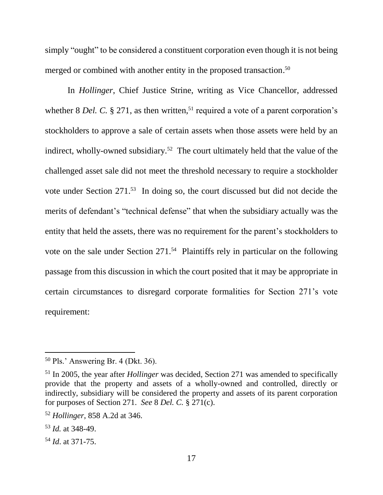simply "ought" to be considered a constituent corporation even though it is not being merged or combined with another entity in the proposed transaction. 50

In *Hollinger*, Chief Justice Strine, writing as Vice Chancellor, addressed whether  $8$  *Del. C.*  $\S 271$ , as then written,<sup>51</sup> required a vote of a parent corporation's stockholders to approve a sale of certain assets when those assets were held by an indirect, wholly-owned subsidiary.<sup>52</sup> The court ultimately held that the value of the challenged asset sale did not meet the threshold necessary to require a stockholder vote under Section 271. <sup>53</sup> In doing so, the court discussed but did not decide the merits of defendant's "technical defense" that when the subsidiary actually was the entity that held the assets, there was no requirement for the parent's stockholders to vote on the sale under Section 271.<sup>54</sup> Plaintiffs rely in particular on the following passage from this discussion in which the court posited that it may be appropriate in certain circumstances to disregard corporate formalities for Section 271's vote requirement:

<sup>50</sup> Pls.' Answering Br. 4 (Dkt. 36).

<sup>51</sup> In 2005, the year after *Hollinger* was decided, Section 271 was amended to specifically provide that the property and assets of a wholly-owned and controlled, directly or indirectly, subsidiary will be considered the property and assets of its parent corporation for purposes of Section 271. *See* 8 *Del. C.* § 271(c).

<sup>52</sup> *Hollinger*, 858 A.2d at 346.

<sup>53</sup> *Id.* at 348-49.

<sup>54</sup> *Id*. at 371-75.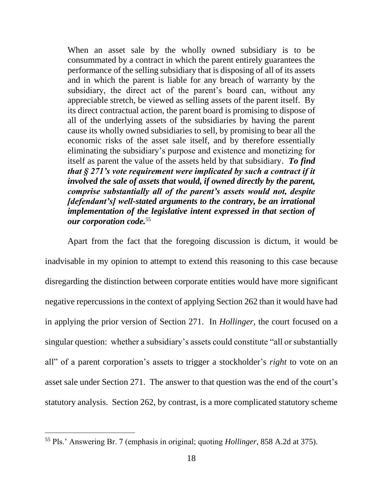When an asset sale by the wholly owned subsidiary is to be consummated by a contract in which the parent entirely guarantees the performance of the selling subsidiary that is disposing of all of its assets and in which the parent is liable for any breach of warranty by the subsidiary, the direct act of the parent's board can, without any appreciable stretch, be viewed as selling assets of the parent itself. By its direct contractual action, the parent board is promising to dispose of all of the underlying assets of the subsidiaries by having the parent cause its wholly owned subsidiaries to sell, by promising to bear all the economic risks of the asset sale itself, and by therefore essentially eliminating the subsidiary's purpose and existence and monetizing for itself as parent the value of the assets held by that subsidiary. *To find that § 271's vote requirement were implicated by such a contract if it involved the sale of assets that would, if owned directly by the parent, comprise substantially all of the parent's assets would not, despite [defendant's] well-stated arguments to the contrary, be an irrational implementation of the legislative intent expressed in that section of our corporation code.*<sup>55</sup>

Apart from the fact that the foregoing discussion is dictum, it would be inadvisable in my opinion to attempt to extend this reasoning to this case because disregarding the distinction between corporate entities would have more significant negative repercussions in the context of applying Section 262 than it would have had in applying the prior version of Section 271. In *Hollinger*, the court focused on a singular question: whether a subsidiary's assets could constitute "all or substantially all" of a parent corporation's assets to trigger a stockholder's *right* to vote on an asset sale under Section 271. The answer to that question was the end of the court's statutory analysis. Section 262, by contrast, is a more complicated statutory scheme

<sup>55</sup> Pls.' Answering Br. 7 (emphasis in original; quoting *Hollinger*, 858 A.2d at 375).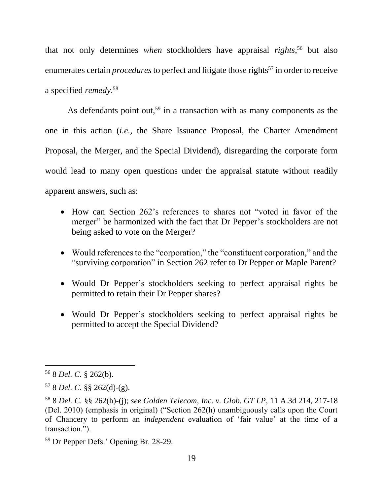that not only determines *when* stockholders have appraisal *rights*, <sup>56</sup> but also enumerates certain *procedures* to perfect and litigate those rights<sup>57</sup> in order to receive a specified *remedy*. 58

As defendants point out,<sup>59</sup> in a transaction with as many components as the one in this action (*i.e.*, the Share Issuance Proposal, the Charter Amendment Proposal, the Merger, and the Special Dividend), disregarding the corporate form would lead to many open questions under the appraisal statute without readily apparent answers, such as:

- How can Section 262's references to shares not "voted in favor of the merger" be harmonized with the fact that Dr Pepper's stockholders are not being asked to vote on the Merger?
- Would references to the "corporation," the "constituent corporation," and the "surviving corporation" in Section 262 refer to Dr Pepper or Maple Parent?
- Would Dr Pepper's stockholders seeking to perfect appraisal rights be permitted to retain their Dr Pepper shares?
- Would Dr Pepper's stockholders seeking to perfect appraisal rights be permitted to accept the Special Dividend?

<sup>56</sup> 8 *Del. C.* § 262(b).

<sup>57</sup> 8 *Del. C.* §§ 262(d)-(g).

<sup>58</sup> 8 *Del. C.* §§ 262(h)-(j); *see Golden Telecom, Inc. v. Glob. GT LP*, 11 A.3d 214, 217-18 (Del. 2010) (emphasis in original) ("Section 262(h) unambiguously calls upon the Court of Chancery to perform an *independent* evaluation of 'fair value' at the time of a transaction.").

<sup>59</sup> Dr Pepper Defs.' Opening Br. 28-29.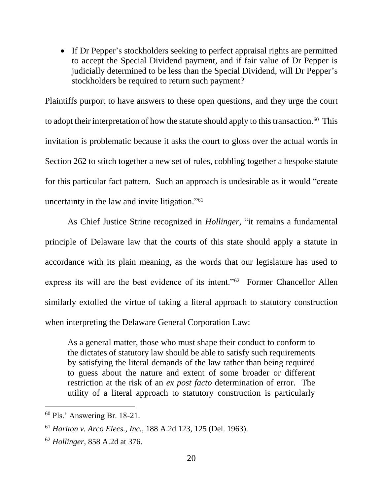If Dr Pepper's stockholders seeking to perfect appraisal rights are permitted to accept the Special Dividend payment, and if fair value of Dr Pepper is judicially determined to be less than the Special Dividend, will Dr Pepper's stockholders be required to return such payment?

Plaintiffs purport to have answers to these open questions, and they urge the court to adopt their interpretation of how the statute should apply to this transaction.<sup>60</sup> This invitation is problematic because it asks the court to gloss over the actual words in Section 262 to stitch together a new set of rules, cobbling together a bespoke statute for this particular fact pattern. Such an approach is undesirable as it would "create uncertainty in the law and invite litigation." 61

As Chief Justice Strine recognized in *Hollinger*, "it remains a fundamental principle of Delaware law that the courts of this state should apply a statute in accordance with its plain meaning, as the words that our legislature has used to express its will are the best evidence of its intent."<sup>62</sup> Former Chancellor Allen similarly extolled the virtue of taking a literal approach to statutory construction when interpreting the Delaware General Corporation Law:

As a general matter, those who must shape their conduct to conform to the dictates of statutory law should be able to satisfy such requirements by satisfying the literal demands of the law rather than being required to guess about the nature and extent of some broader or different restriction at the risk of an *ex post facto* determination of error. The utility of a literal approach to statutory construction is particularly

<sup>60</sup> Pls.' Answering Br. 18-21.

<sup>61</sup> *Hariton v. Arco Elecs., Inc.*, 188 A.2d 123, 125 (Del. 1963).

<sup>62</sup> *Hollinger*, 858 A.2d at 376.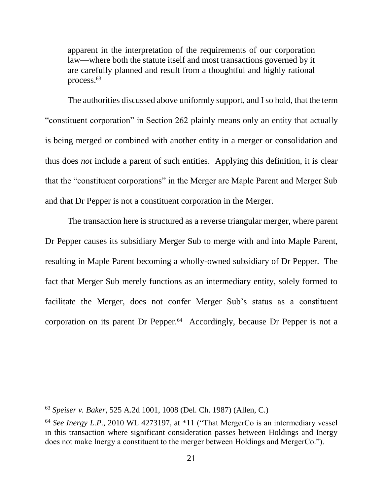apparent in the interpretation of the requirements of our corporation law—where both the statute itself and most transactions governed by it are carefully planned and result from a thoughtful and highly rational process.<sup>63</sup>

The authorities discussed above uniformly support, and I so hold, that the term "constituent corporation" in Section 262 plainly means only an entity that actually is being merged or combined with another entity in a merger or consolidation and thus does *not* include a parent of such entities. Applying this definition, it is clear that the "constituent corporations" in the Merger are Maple Parent and Merger Sub and that Dr Pepper is not a constituent corporation in the Merger.

The transaction here is structured as a reverse triangular merger, where parent Dr Pepper causes its subsidiary Merger Sub to merge with and into Maple Parent, resulting in Maple Parent becoming a wholly-owned subsidiary of Dr Pepper. The fact that Merger Sub merely functions as an intermediary entity, solely formed to facilitate the Merger, does not confer Merger Sub's status as a constituent corporation on its parent Dr Pepper.<sup>64</sup> Accordingly, because Dr Pepper is not a

<sup>63</sup> *Speiser v. Baker*, 525 A.2d 1001, 1008 (Del. Ch. 1987) (Allen, C.)

<sup>&</sup>lt;sup>64</sup> See Inergy L.P., 2010 WL 4273197, at \*11 ("That MergerCo is an intermediary vessel in this transaction where significant consideration passes between Holdings and Inergy does not make Inergy a constituent to the merger between Holdings and MergerCo.").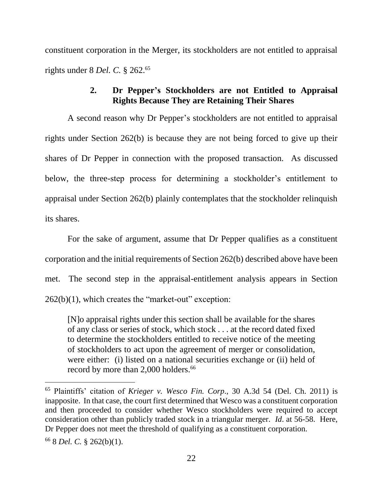constituent corporation in the Merger, its stockholders are not entitled to appraisal rights under 8 *Del. C.* § 262.<sup>65</sup>

# **2. Dr Pepper's Stockholders are not Entitled to Appraisal Rights Because They are Retaining Their Shares**

A second reason why Dr Pepper's stockholders are not entitled to appraisal rights under Section 262(b) is because they are not being forced to give up their shares of Dr Pepper in connection with the proposed transaction. As discussed below, the three-step process for determining a stockholder's entitlement to appraisal under Section 262(b) plainly contemplates that the stockholder relinquish its shares.

For the sake of argument, assume that Dr Pepper qualifies as a constituent corporation and the initial requirements of Section 262(b) described above have been met. The second step in the appraisal-entitlement analysis appears in Section  $262(b)(1)$ , which creates the "market-out" exception:

[N]o appraisal rights under this section shall be available for the shares of any class or series of stock, which stock . . . at the record dated fixed to determine the stockholders entitled to receive notice of the meeting of stockholders to act upon the agreement of merger or consolidation, were either: (i) listed on a national securities exchange or (ii) held of record by more than 2,000 holders.<sup>66</sup>

<sup>65</sup> Plaintiffs' citation of *Krieger v. Wesco Fin. Corp*., 30 A.3d 54 (Del. Ch. 2011) is inapposite. In that case, the court first determined that Wesco was a constituent corporation and then proceeded to consider whether Wesco stockholders were required to accept consideration other than publicly traded stock in a triangular merger. *Id*. at 56-58. Here, Dr Pepper does not meet the threshold of qualifying as a constituent corporation.

<sup>66</sup> 8 *Del. C.* § 262(b)(1).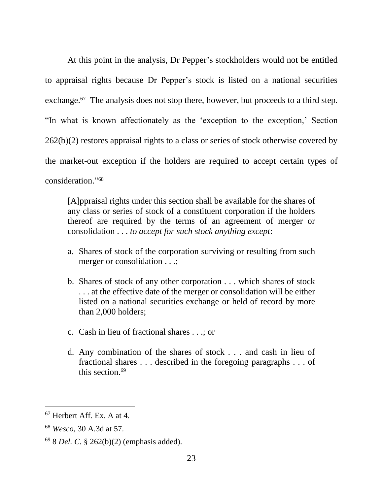At this point in the analysis, Dr Pepper's stockholders would not be entitled to appraisal rights because Dr Pepper's stock is listed on a national securities exchange.<sup>67</sup> The analysis does not stop there, however, but proceeds to a third step. "In what is known affectionately as the 'exception to the exception,' Section 262(b)(2) restores appraisal rights to a class or series of stock otherwise covered by the market-out exception if the holders are required to accept certain types of consideration." 68

[A]ppraisal rights under this section shall be available for the shares of any class or series of stock of a constituent corporation if the holders thereof are required by the terms of an agreement of merger or consolidation . . . *to accept for such stock anything except*:

- a. Shares of stock of the corporation surviving or resulting from such merger or consolidation . . .;
- b. Shares of stock of any other corporation . . . which shares of stock . . . at the effective date of the merger or consolidation will be either listed on a national securities exchange or held of record by more than 2,000 holders;
- c. Cash in lieu of fractional shares . . .; or
- d. Any combination of the shares of stock . . . and cash in lieu of fractional shares . . . described in the foregoing paragraphs . . . of this section. 69

<sup>67</sup> Herbert Aff. Ex. A at 4.

<sup>68</sup> *Wesco*, 30 A.3d at 57.

<sup>69</sup> 8 *Del. C.* § 262(b)(2) (emphasis added).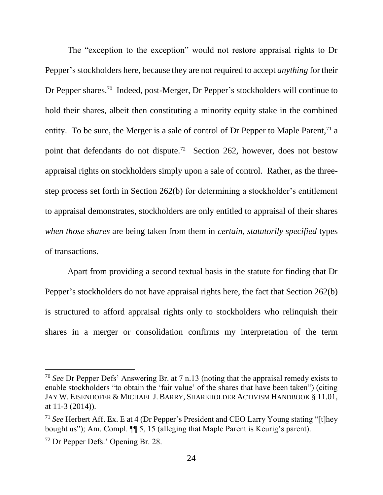The "exception to the exception" would not restore appraisal rights to Dr Pepper's stockholders here, because they are not required to accept *anything* for their Dr Pepper shares.<sup>70</sup> Indeed, post-Merger, Dr Pepper's stockholders will continue to hold their shares, albeit then constituting a minority equity stake in the combined entity. To be sure, the Merger is a sale of control of Dr Pepper to Maple Parent,<sup> $71$ </sup> a point that defendants do not dispute.<sup>72</sup> Section 262, however, does not bestow appraisal rights on stockholders simply upon a sale of control. Rather, as the threestep process set forth in Section 262(b) for determining a stockholder's entitlement to appraisal demonstrates, stockholders are only entitled to appraisal of their shares *when those shares* are being taken from them in *certain, statutorily specified* types of transactions.

Apart from providing a second textual basis in the statute for finding that Dr Pepper's stockholders do not have appraisal rights here, the fact that Section 262(b) is structured to afford appraisal rights only to stockholders who relinquish their shares in a merger or consolidation confirms my interpretation of the term

<sup>70</sup> *See* Dr Pepper Defs' Answering Br. at 7 n.13 (noting that the appraisal remedy exists to enable stockholders "to obtain the 'fair value' of the shares that have been taken") (citing JAY W. EISENHOFER & MICHAEL J. BARRY, SHAREHOLDER ACTIVISM HANDBOOK § 11.01, at 11-3 (2014)).

<sup>71</sup> *See* Herbert Aff. Ex. E at 4 (Dr Pepper's President and CEO Larry Young stating "[t]hey bought us"); Am. Compl.  $\P$  5, 15 (alleging that Maple Parent is Keurig's parent).

<sup>72</sup> Dr Pepper Defs.' Opening Br. 28.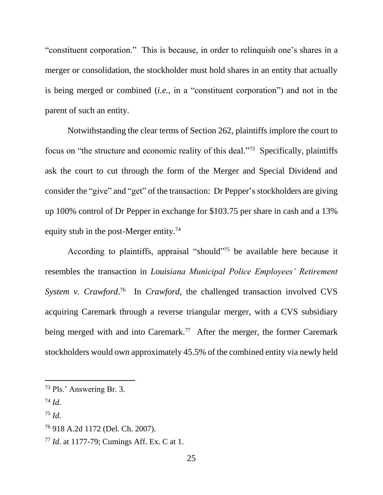"constituent corporation." This is because, in order to relinquish one's shares in a merger or consolidation, the stockholder must hold shares in an entity that actually is being merged or combined (*i.e.*, in a "constituent corporation") and not in the parent of such an entity.

Notwithstanding the clear terms of Section 262, plaintiffs implore the court to focus on "the structure and economic reality of this deal."<sup>73</sup> Specifically, plaintiffs ask the court to cut through the form of the Merger and Special Dividend and consider the "give" and "get" of the transaction: Dr Pepper's stockholders are giving up 100% control of Dr Pepper in exchange for \$103.75 per share in cash and a 13% equity stub in the post-Merger entity.<sup>74</sup>

According to plaintiffs, appraisal "should" <sup>75</sup> be available here because it resembles the transaction in *Louisiana Municipal Police Employees' Retirement*  System v. *Crawford*.<sup>76</sup> In *Crawford*, the challenged transaction involved CVS acquiring Caremark through a reverse triangular merger, with a CVS subsidiary being merged with and into Caremark.<sup>77</sup> After the merger, the former Caremark stockholders would own approximately 45.5% of the combined entity via newly held

 $^{74}$  *Id.* 

l

<sup>75</sup> *Id*.

<sup>73</sup> Pls.' Answering Br. 3.

<sup>76</sup> 918 A.2d 1172 (Del. Ch. 2007).

<sup>77</sup> *Id*. at 1177-79; Cumings Aff. Ex. C at 1.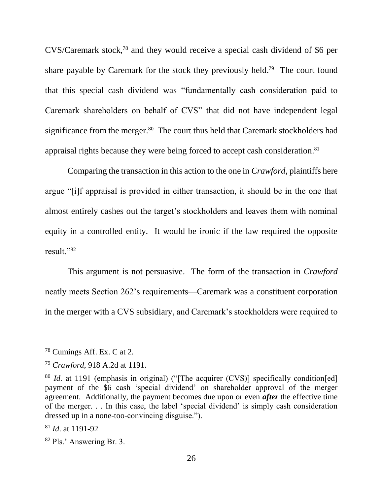CVS/Caremark stock, <sup>78</sup> and they would receive a special cash dividend of \$6 per share payable by Caremark for the stock they previously held.<sup>79</sup> The court found that this special cash dividend was "fundamentally cash consideration paid to Caremark shareholders on behalf of CVS" that did not have independent legal significance from the merger.<sup>80</sup> The court thus held that Caremark stockholders had appraisal rights because they were being forced to accept cash consideration. 81

Comparing the transaction in this action to the one in *Crawford*, plaintiffs here argue "[i]f appraisal is provided in either transaction, it should be in the one that almost entirely cashes out the target's stockholders and leaves them with nominal equity in a controlled entity. It would be ironic if the law required the opposite result."<sup>82</sup>

This argument is not persuasive. The form of the transaction in *Crawford*  neatly meets Section 262's requirements—Caremark was a constituent corporation in the merger with a CVS subsidiary, and Caremark's stockholders were required to

<sup>78</sup> Cumings Aff. Ex. C at 2.

<sup>79</sup> *Crawford*, 918 A.2d at 1191.

<sup>&</sup>lt;sup>80</sup> *Id.* at 1191 (emphasis in original) ("The acquirer (CVS)] specifically condition[ed] payment of the \$6 cash 'special dividend' on shareholder approval of the merger agreement. Additionally, the payment becomes due upon or even *after* the effective time of the merger. . . In this case, the label 'special dividend' is simply cash consideration dressed up in a none-too-convincing disguise.").

<sup>81</sup> *Id*. at 1191-92

<sup>82</sup> Pls.' Answering Br. 3.